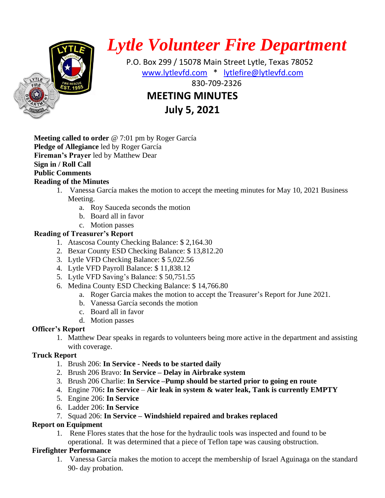

# *Lytle Volunteer Fire Department*

 P.O. Box 299 / 15078 Main Street Lytle, Texas 78052 [www.lytlevfd.com](http://www.lytlevfd.com/) \* [lytlefire@lytlevfd.com](mailto:lytlefire@lytlevfd.com) **EXPRESSIVE PRESSIVE 18 230-709-2326 MEETING MINUTES**

**July 5, 2021**

**Meeting called to order** @ 7:01 pm by Roger García **Pledge of Allegiance** led by Roger García **Fireman's Prayer** led by Matthew Dear **Sign in / Roll Call Public Comments**

# **Reading of the Minutes**

- 1. Vanessa García makes the motion to accept the meeting minutes for May 10, 2021 Business Meeting.
	- a. Roy Sauceda seconds the motion
	- b. Board all in favor
	- c. Motion passes

# **Reading of Treasurer's Report**

- 1. Atascosa County Checking Balance: \$ 2,164.30
- 2. Bexar County ESD Checking Balance: \$ 13,812.20
- 3. Lytle VFD Checking Balance: \$ 5,022.56
- 4. Lytle VFD Payroll Balance: \$ 11,838.12
- 5. Lytle VFD Saving's Balance: \$ 50,751.55
- 6. Medina County ESD Checking Balance: \$ 14,766.80
	- a. Roger Garcia makes the motion to accept the Treasurer's Report for June 2021.
	- b. Vanessa García seconds the motion
	- c. Board all in favor
	- d. Motion passes

## **Officer's Report**

1. Matthew Dear speaks in regards to volunteers being more active in the department and assisting with coverage.

## **Truck Report**

- 1. Brush 206: **In Service - Needs to be started daily**
- 2. Brush 206 Bravo: **In Service – Delay in Airbrake system**
- 3. Brush 206 Charlie: **In Service –Pump should be started prior to going en route**
- 4. Engine 706**: In Service Air leak in system & water leak, Tank is currently EMPTY**
- 5. Engine 206: **In Service**
- 6. Ladder 206: **In Service**
- 7. Squad 206: **In Service – Windshield repaired and brakes replaced**

## **Report on Equipment**

1. Rene Flores states that the hose for the hydraulic tools was inspected and found to be operational. It was determined that a piece of Teflon tape was causing obstruction.

## **Firefighter Performance**

1. Vanessa García makes the motion to accept the membership of Israel Aguinaga on the standard 90- day probation.